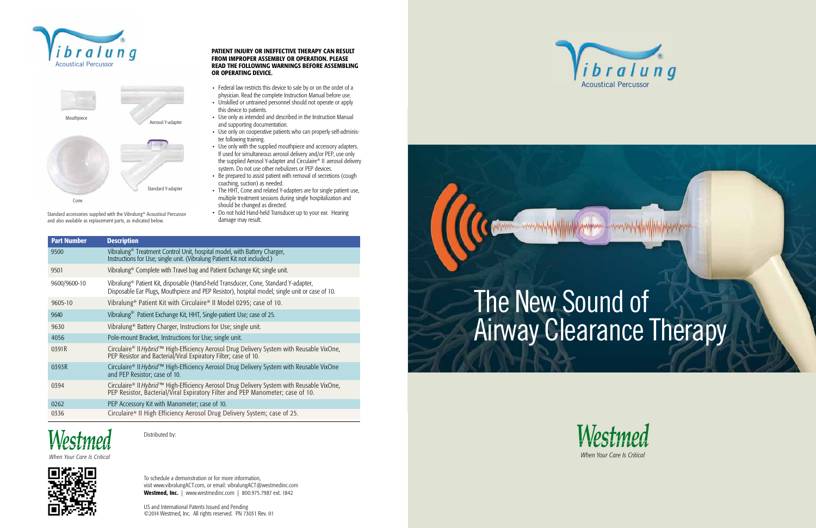

# The New Sound of **Airway Clearance Therapy**







Standard accessories supplied with the Vibralung® Acoustical Percussor and also available as replacement parts, as indicated below.

- Federal law restricts this device to sale by or on the order of a physician. Read the complete Instruction Manual before use.
- Unskilled or untrained personnel should not operate or apply this device to patients.
- Use only as intended and described in the Instruction Manual and supporting documentation.
- Use only on cooperative patients who can properly self-administer following training.
- Use only with the supplied mouthpiece and accessory adapters. If used for simultaneous aerosol delivery and/or PEP, use only the supplied Aerosol Y-adapter and Circulaire® II aerosol delivery system. Do not use other nebulizers or PEP devices.
- Be prepared to assist patient with removal of secretions (cough coaching, suction) as needed.
- The HHT, Cone and related Y-adapters are for single patient use, multiple treatment sessions during single hospitalization and should be changed as directed.
- Do not hold Hand-held Transducer up to your ear. Hearing damage may result.

*When Your Care Is Critical*





Distributed by:

## PATIENT INJURY OR INEFFECTIVE THERAPY CAN RESULT FROM IMPROPER ASSEMBLY OR OPERATION. PLEASE READ THE FOLLOWING WARNINGS BEFORE ASSEMBLING OR OPERATING DEVICE.

| <b>Part Number</b> | <b>Description</b>                                                                                                                                                                                |
|--------------------|---------------------------------------------------------------------------------------------------------------------------------------------------------------------------------------------------|
| 9500               | Vibralung <sup>®</sup> Treatment Control Unit, hospital model, with Battery Charger,<br>Instructions for Use; single unit. (Vibralung Patient Kit not included.)                                  |
| 9501               | Vibralung <sup>®</sup> Complete with Travel bag and Patient Exchange Kit; single unit.                                                                                                            |
| 9600/9600-10       | Vibralung <sup>®</sup> Patient Kit, disposable (Hand-held Transducer, Cone, Standard Y-adapter,<br>Disposable Ear Plugs, Mouthpiece and PEP Resistor), hospital model; single unit or case of 10. |
| 9605-10            | Vibralung <sup>®</sup> Patient Kit with Circulaire® II Model 0295; case of 10.                                                                                                                    |
| 9640               | Vibralung <sup>®</sup> Patient Exchange Kit, HHT, Single-patient Use; case of 25.                                                                                                                 |
| 9630               | Vibralung <sup>®</sup> Battery Charger, Instructions for Use; single unit.                                                                                                                        |
| 4056               | Pole-mount Bracket, Instructions for Use; single unit.                                                                                                                                            |
| 0391R              | Circulaire® II Hybrid™ High-Efficiency Aerosol Drug Delivery System with Reusable VixOne,<br>PEP Resistor and Bacterial/Viral Expiratory Filter; case of 10.                                      |
| 0393R              | Circulaire® II Hybrid™ High-Efficiency Aerosol Drug Delivery System with Reusable VixOne<br>and PEP Resistor; case of 10.                                                                         |
| 0394               | Circulaire® II Hybrid™ High-Efficiency Aerosol Drug Delivery System with Reusable VixOne,<br>PEP Resistor, Bacterial/Viral Expiratory Filter and PEP Manometer; case of 10.                       |
| 0262               | PEP Accessory Kit with Manometer; case of 10.                                                                                                                                                     |
| 0336               | Circulaire® II High Efficiency Aerosol Drug Delivery System; case of 25.                                                                                                                          |



To schedule a demonstration or for more information, visit www.vibralungACT.com, or email: vibralungACT@westmedinc.com Westmed, Inc. | www.westmedinc.com | 800.975.7987 ext. 1842

US and International Patents Issued and Pending ©2014 Westmed, Inc. All rights reserved. PN 73031 Rev. 01